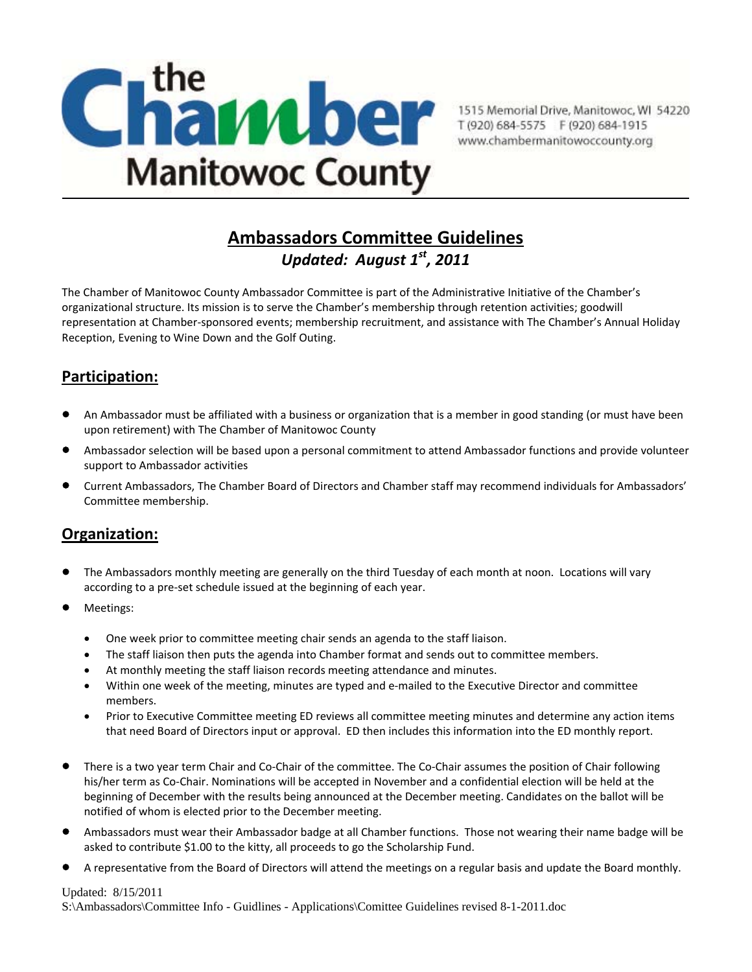

## **Ambassadors Committee Guidelines** *Updated: August 1st, 2011*

The Chamber of Manitowoc County Ambassador Committee is part of the Administrative Initiative of the Chamber's organizational structure. Its mission is to serve the Chamber's membership through retention activities; goodwill representation at Chamber‐sponsored events; membership recruitment, and assistance with The Chamber's Annual Holiday Reception, Evening to Wine Down and the Golf Outing.

## **Participation:**

- An Ambassador must be affiliated with a business or organization that is a member in good standing (or must have been upon retirement) with The Chamber of Manitowoc County
- Ambassador selection will be based upon a personal commitment to attend Ambassador functions and provide volunteer support to Ambassador activities
- Current Ambassadors, The Chamber Board of Directors and Chamber staff may recommend individuals for Ambassadors' Committee membership.

### **Organization:**

- The Ambassadors monthly meeting are generally on the third Tuesday of each month at noon. Locations will vary according to a pre‐set schedule issued at the beginning of each year.
- Meetings:
	- One week prior to committee meeting chair sends an agenda to the staff liaison.
	- The staff liaison then puts the agenda into Chamber format and sends out to committee members.
	- At monthly meeting the staff liaison records meeting attendance and minutes.
	- Within one week of the meeting, minutes are typed and e‐mailed to the Executive Director and committee members.
	- Prior to Executive Committee meeting ED reviews all committee meeting minutes and determine any action items that need Board of Directors input or approval. ED then includes this information into the ED monthly report.
- There is a two year term Chair and Co‐Chair of the committee. The Co‐Chair assumes the position of Chair following his/her term as Co-Chair. Nominations will be accepted in November and a confidential election will be held at the beginning of December with the results being announced at the December meeting. Candidates on the ballot will be notified of whom is elected prior to the December meeting.
- Ambassadors must wear their Ambassador badge at all Chamber functions. Those not wearing their name badge will be asked to contribute \$1.00 to the kitty, all proceeds to go the Scholarship Fund.
- A representative from the Board of Directors will attend the meetings on a regular basis and update the Board monthly.

#### Updated: 8/15/2011

S:\Ambassadors\Committee Info - Guidlines - Applications\Comittee Guidelines revised 8-1-2011.doc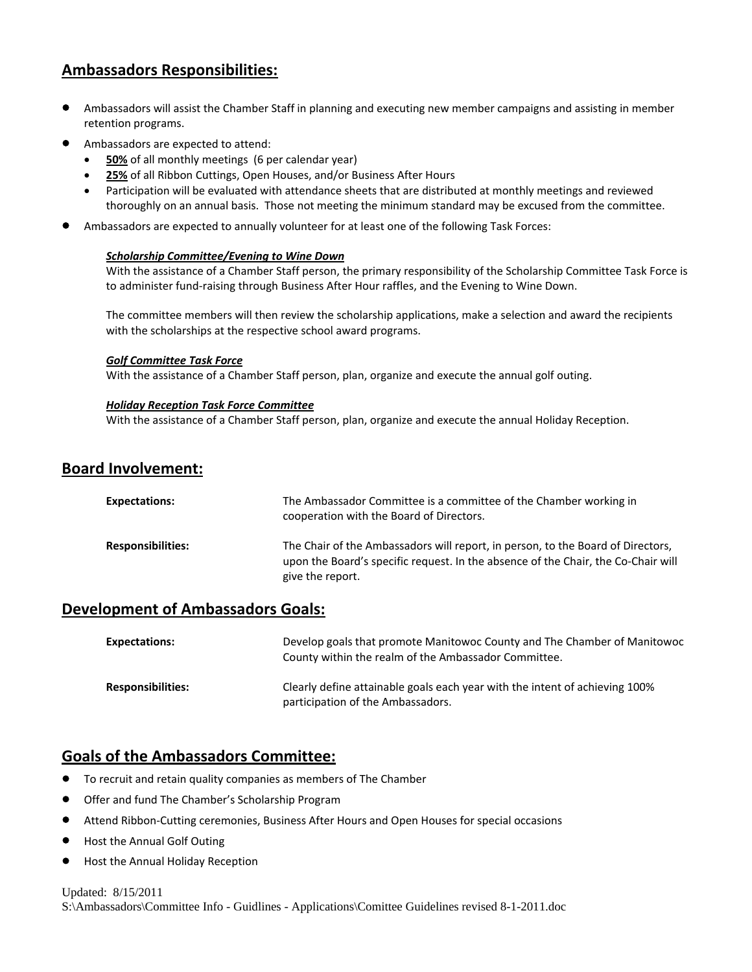### **Ambassadors Responsibilities:**

- Ambassadors will assist the Chamber Staff in planning and executing new member campaigns and assisting in member retention programs.
- Ambassadors are expected to attend:
	- **50%** of all monthly meetings (6 per calendar year)
	- 25% of all Ribbon Cuttings, Open Houses, and/or Business After Hours
	- Participation will be evaluated with attendance sheets that are distributed at monthly meetings and reviewed thoroughly on an annual basis. Those not meeting the minimum standard may be excused from the committee.
- Ambassadors are expected to annually volunteer for at least one of the following Task Forces:

#### *Scholarship Committee/Evening to Wine Down*

With the assistance of a Chamber Staff person, the primary responsibility of the Scholarship Committee Task Force is to administer fund‐raising through Business After Hour raffles, and the Evening to Wine Down.

The committee members will then review the scholarship applications, make a selection and award the recipients with the scholarships at the respective school award programs.

#### *Golf Committee Task Force*

With the assistance of a Chamber Staff person, plan, organize and execute the annual golf outing.

#### *Holiday Reception Task Force Committee*

With the assistance of a Chamber Staff person, plan, organize and execute the annual Holiday Reception.

### **Board Involvement:**

| <b>Expectations:</b>     | The Ambassador Committee is a committee of the Chamber working in<br>cooperation with the Board of Directors.                                                                            |
|--------------------------|------------------------------------------------------------------------------------------------------------------------------------------------------------------------------------------|
| <b>Responsibilities:</b> | The Chair of the Ambassadors will report, in person, to the Board of Directors,<br>upon the Board's specific request. In the absence of the Chair, the Co-Chair will<br>give the report. |

### **Development of Ambassadors Goals:**

| <b>Expectations:</b>     | Develop goals that promote Manitowoc County and The Chamber of Manitowoc<br>County within the realm of the Ambassador Committee. |
|--------------------------|----------------------------------------------------------------------------------------------------------------------------------|
| <b>Responsibilities:</b> | Clearly define attainable goals each year with the intent of achieving 100%<br>participation of the Ambassadors.                 |

### **Goals of the Ambassadors Committee:**

- To recruit and retain quality companies as members of The Chamber
- Offer and fund The Chamber's Scholarship Program
- Attend Ribbon‐Cutting ceremonies, Business After Hours and Open Houses for special occasions
- Host the Annual Golf Outing
- Host the Annual Holiday Reception

#### Updated: 8/15/2011 S:\Ambassadors\Committee Info - Guidlines - Applications\Comittee Guidelines revised 8-1-2011.doc